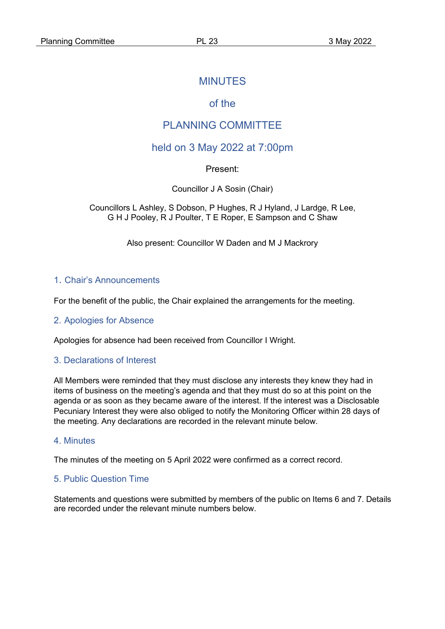## MINUTES

# of the

# PLANNING COMMITTEE

## held on 3 May 2022 at 7:00pm

Present:

Councillor J A Sosin (Chair)

Councillors L Ashley, S Dobson, P Hughes, R J Hyland, J Lardge, R Lee, G H J Pooley, R J Poulter, T E Roper, E Sampson and C Shaw

Also present: Councillor W Daden and M J Mackrory

#### 1. Chair's Announcements

For the benefit of the public, the Chair explained the arrangements for the meeting.

#### 2. Apologies for Absence

Apologies for absence had been received from Councillor I Wright.

#### 3. Declarations of Interest

All Members were reminded that they must disclose any interests they knew they had in items of business on the meeting's agenda and that they must do so at this point on the agenda or as soon as they became aware of the interest. If the interest was a Disclosable Pecuniary Interest they were also obliged to notify the Monitoring Officer within 28 days of the meeting. Any declarations are recorded in the relevant minute below.

#### 4. Minutes

The minutes of the meeting on 5 April 2022 were confirmed as a correct record.

## 5. Public Question Time

Statements and questions were submitted by members of the public on Items 6 and 7. Details are recorded under the relevant minute numbers below.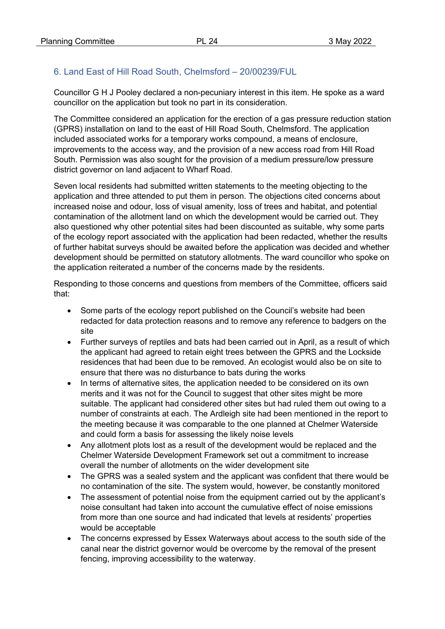# 6. Land East of Hill Road South, Chelmsford – 20/00239/FUL

Councillor G H J Pooley declared a non-pecuniary interest in this item. He spoke as a ward councillor on the application but took no part in its consideration.

The Committee considered an application for the erection of a gas pressure reduction station (GPRS) installation on land to the east of Hill Road South, Chelmsford. The application included associated works for a temporary works compound, a means of enclosure, improvements to the access way, and the provision of a new access road from Hill Road South. Permission was also sought for the provision of a medium pressure/low pressure district governor on land adjacent to Wharf Road.

Seven local residents had submitted written statements to the meeting objecting to the application and three attended to put them in person. The objections cited concerns about increased noise and odour, loss of visual amenity, loss of trees and habitat, and potential contamination of the allotment land on which the development would be carried out. They also questioned why other potential sites had been discounted as suitable, why some parts of the ecology report associated with the application had been redacted, whether the results of further habitat surveys should be awaited before the application was decided and whether development should be permitted on statutory allotments. The ward councillor who spoke on the application reiterated a number of the concerns made by the residents.

Responding to those concerns and questions from members of the Committee, officers said that:

- Some parts of the ecology report published on the Council's website had been redacted for data protection reasons and to remove any reference to badgers on the site
- Further surveys of reptiles and bats had been carried out in April, as a result of which the applicant had agreed to retain eight trees between the GPRS and the Lockside residences that had been due to be removed. An ecologist would also be on site to ensure that there was no disturbance to bats during the works
- In terms of alternative sites, the application needed to be considered on its own merits and it was not for the Council to suggest that other sites might be more suitable. The applicant had considered other sites but had ruled them out owing to a number of constraints at each. The Ardleigh site had been mentioned in the report to the meeting because it was comparable to the one planned at Chelmer Waterside and could form a basis for assessing the likely noise levels
- Any allotment plots lost as a result of the development would be replaced and the Chelmer Waterside Development Framework set out a commitment to increase overall the number of allotments on the wider development site
- The GPRS was a sealed system and the applicant was confident that there would be no contamination of the site. The system would, however, be constantly monitored
- The assessment of potential noise from the equipment carried out by the applicant's noise consultant had taken into account the cumulative effect of noise emissions from more than one source and had indicated that levels at residents' properties would be acceptable
- The concerns expressed by Essex Waterways about access to the south side of the canal near the district governor would be overcome by the removal of the present fencing, improving accessibility to the waterway.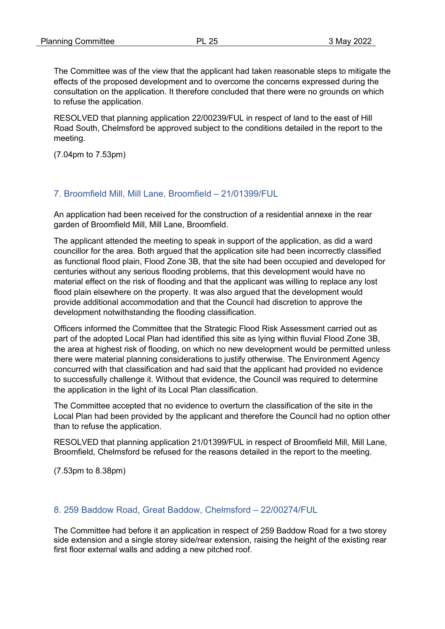The Committee was of the view that the applicant had taken reasonable steps to mitigate the effects of the proposed development and to overcome the concerns expressed during the consultation on the application. It therefore concluded that there were no grounds on which to refuse the application.

RESOLVED that planning application 22/00239/FUL in respect of land to the east of Hill Road South, Chelmsford be approved subject to the conditions detailed in the report to the meeting.

(7.04pm to 7.53pm)

### 7. Broomfield Mill, Mill Lane, Broomfield – 21/01399/FUL

An application had been received for the construction of a residential annexe in the rear garden of Broomfield Mill, Mill Lane, Broomfield.

The applicant attended the meeting to speak in support of the application, as did a ward councillor for the area. Both argued that the application site had been incorrectly classified as functional flood plain, Flood Zone 3B, that the site had been occupied and developed for centuries without any serious flooding problems, that this development would have no material effect on the risk of flooding and that the applicant was willing to replace any lost flood plain elsewhere on the property. It was also argued that the development would provide additional accommodation and that the Council had discretion to approve the development notwithstanding the flooding classification.

Officers informed the Committee that the Strategic Flood Risk Assessment carried out as part of the adopted Local Plan had identified this site as lying within fluvial Flood Zone 3B, the area at highest risk of flooding, on which no new development would be permitted unless there were material planning considerations to justify otherwise. The Environment Agency concurred with that classification and had said that the applicant had provided no evidence to successfully challenge it. Without that evidence, the Council was required to determine the application in the light of its Local Plan classification.

The Committee accepted that no evidence to overturn the classification of the site in the Local Plan had been provided by the applicant and therefore the Council had no option other than to refuse the application.

RESOLVED that planning application 21/01399/FUL in respect of Broomfield Mill, Mill Lane, Broomfield, Chelmsford be refused for the reasons detailed in the report to the meeting.

(7.53pm to 8.38pm)

### 8. 259 Baddow Road, Great Baddow, Chelmsford – 22/00274/FUL

The Committee had before it an application in respect of 259 Baddow Road for a two storey side extension and a single storey side/rear extension, raising the height of the existing rear first floor external walls and adding a new pitched roof.